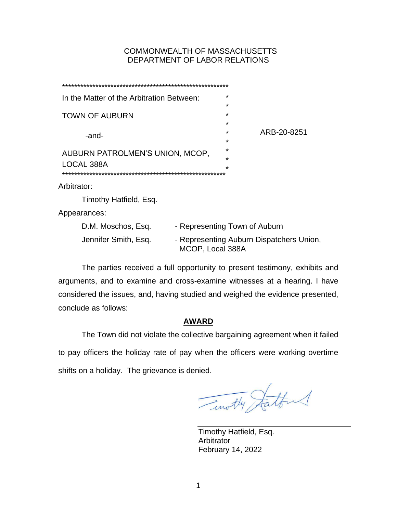# COMMONWEALTH OF MASSACHUSETTS DEPARTMENT OF LABOR RELATIONS

| In the Matter of the Arbitration Between:     |                        |                               | $\star$ |                                          |
|-----------------------------------------------|------------------------|-------------------------------|---------|------------------------------------------|
| <b>TOWN OF AUBURN</b>                         |                        |                               | *       |                                          |
|                                               |                        |                               | *       |                                          |
|                                               |                        |                               | *<br>*  | ARB-20-8251                              |
|                                               | -and-                  |                               | *       |                                          |
|                                               |                        |                               | ÷       |                                          |
| AUBURN PATROLMEN'S UNION, MCOP,<br>LOCAL 388A |                        |                               | ÷       |                                          |
|                                               |                        |                               | $\star$ |                                          |
| Arbitrator:                                   |                        |                               |         |                                          |
|                                               |                        |                               |         |                                          |
|                                               | Timothy Hatfield, Esq. |                               |         |                                          |
|                                               | Appearances:           |                               |         |                                          |
|                                               | D.M. Moschos, Esq.     | - Representing Town of Auburn |         |                                          |
|                                               | Jennifer Smith, Esq.   | MCOP, Local 388A              |         | - Representing Auburn Dispatchers Union, |
|                                               |                        |                               |         |                                          |

The parties received a full opportunity to present testimony, exhibits and arguments, and to examine and cross-examine witnesses at a hearing. I have considered the issues, and, having studied and weighed the evidence presented, conclude as follows:

# **AWARD**

The Town did not violate the collective bargaining agreement when it failed to pay officers the holiday rate of pay when the officers were working overtime shifts on a holiday. The grievance is denied.

Timothy Statford

Timothy Hatfield, Esq. Arbitrator February 14, 2022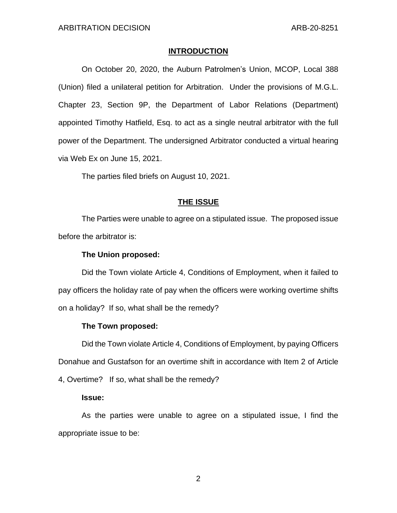## **INTRODUCTION**

On October 20, 2020, the Auburn Patrolmen's Union, MCOP, Local 388 (Union) filed a unilateral petition for Arbitration. Under the provisions of M.G.L. Chapter 23, Section 9P, the Department of Labor Relations (Department) appointed Timothy Hatfield, Esq. to act as a single neutral arbitrator with the full power of the Department. The undersigned Arbitrator conducted a virtual hearing via Web Ex on June 15, 2021.

The parties filed briefs on August 10, 2021.

# **THE ISSUE**

The Parties were unable to agree on a stipulated issue. The proposed issue before the arbitrator is:

# **The Union proposed:**

Did the Town violate Article 4, Conditions of Employment, when it failed to pay officers the holiday rate of pay when the officers were working overtime shifts on a holiday? If so, what shall be the remedy?

## **The Town proposed:**

Did the Town violate Article 4, Conditions of Employment, by paying Officers Donahue and Gustafson for an overtime shift in accordance with Item 2 of Article 4, Overtime? If so, what shall be the remedy?

## **Issue:**

As the parties were unable to agree on a stipulated issue, I find the appropriate issue to be: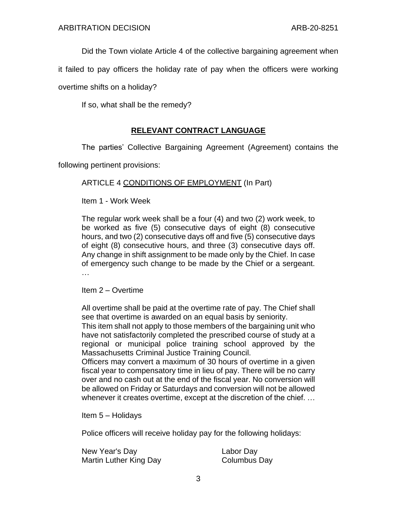Did the Town violate Article 4 of the collective bargaining agreement when

it failed to pay officers the holiday rate of pay when the officers were working

overtime shifts on a holiday?

If so, what shall be the remedy?

# **RELEVANT CONTRACT LANGUAGE**

The parties' Collective Bargaining Agreement (Agreement) contains the

following pertinent provisions:

# ARTICLE 4 CONDITIONS OF EMPLOYMENT (In Part)

Item 1 - Work Week

The regular work week shall be a four (4) and two (2) work week, to be worked as five (5) consecutive days of eight (8) consecutive hours, and two (2) consecutive days off and five (5) consecutive days of eight (8) consecutive hours, and three (3) consecutive days off. Any change in shift assignment to be made only by the Chief. In case of emergency such change to be made by the Chief or a sergeant. …

Item 2 – Overtime

All overtime shall be paid at the overtime rate of pay. The Chief shall see that overtime is awarded on an equal basis by seniority.

This item shall not apply to those members of the bargaining unit who have not satisfactorily completed the prescribed course of study at a regional or municipal police training school approved by the Massachusetts Criminal Justice Training Council.

Officers may convert a maximum of 30 hours of overtime in a given fiscal year to compensatory time in lieu of pay. There will be no carry over and no cash out at the end of the fiscal year. No conversion will be allowed on Friday or Saturdays and conversion will not be allowed whenever it creates overtime, except at the discretion of the chief. …

Item 5 – Holidays

Police officers will receive holiday pay for the following holidays:

| New Year's Day         | Labor Day    |
|------------------------|--------------|
| Martin Luther King Day | Columbus Day |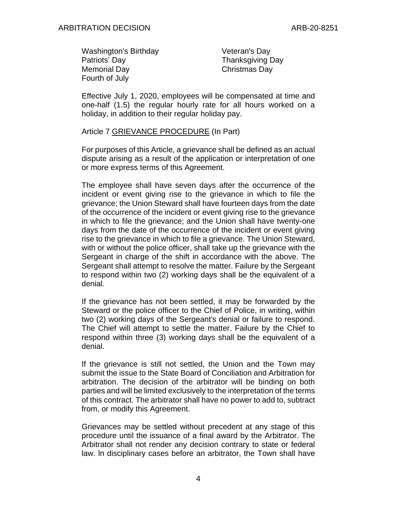| <b>Washington's Birthday</b> | Veteran's Day           |
|------------------------------|-------------------------|
| Patriots' Day                | <b>Thanksgiving Day</b> |
| <b>Memorial Day</b>          | Christmas Day           |
| Fourth of July               |                         |

Effective July 1, 2020, employees will be compensated at time and one-half (1.5) the regular hourly rate for all hours worked on a holiday, in addition to their regular holiday pay.

Article 7 GRIEVANCE PROCEDURE (In Part)

For purposes of this Article, a grievance shall be defined as an actual dispute arising as a result of the application or interpretation of one or more express terms of this Agreement.

The employee shall have seven days after the occurrence of the incident or event giving rise to the grievance in which to file the grievance; the Union Steward shall have fourteen days from the date of the occurrence of the incident or event giving rise to the grievance in which to file the grievance; and the Union shall have twenty-one days from the date of the occurrence of the incident or event giving rise to the grievance in which to file a grievance. The Union Steward, with or without the police officer, shall take up the grievance with the Sergeant in charge of the shift in accordance with the above. The Sergeant shall attempt to resolve the matter. Failure by the Sergeant to respond within two (2) working days shall be the equivalent of a denial.

If the grievance has not been settled, it may be forwarded by the Steward or the police officer to the Chief of Police, in writing, within two (2) working days of the Sergeant's denial or failure to respond. The Chief will attempt to settle the matter. Failure by the Chief to respond within three (3) working days shall be the equivalent of a denial.

If the grievance is still not settled, the Union and the Town may submit the issue to the State Board of Conciliation and Arbitration for arbitration. The decision of the arbitrator will be binding on both parties and will be limited exclusively to the interpretation of the terms of this contract. The arbitrator shall have no power to add to, subtract from, or modify this Agreement.

Grievances may be settled without precedent at any stage of this procedure until the issuance of a final award by the Arbitrator. The Arbitrator shall not render any decision contrary to state or federal law. ln disciplinary cases before an arbitrator, the Town shall have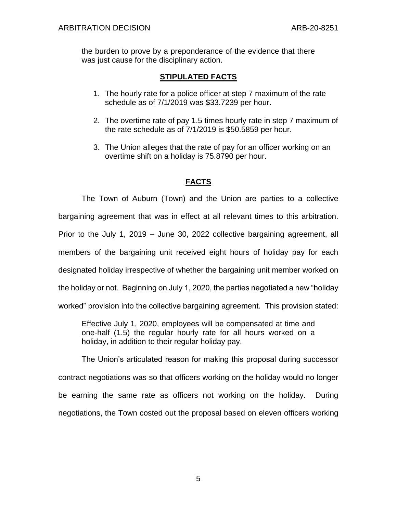the burden to prove by a preponderance of the evidence that there was just cause for the disciplinary action.

# **STIPULATED FACTS**

- 1. The hourly rate for a police officer at step 7 maximum of the rate schedule as of 7/1/2019 was \$33.7239 per hour.
- 2. The overtime rate of pay 1.5 times hourly rate in step 7 maximum of the rate schedule as of 7/1/2019 is \$50.5859 per hour.
- 3. The Union alleges that the rate of pay for an officer working on an overtime shift on a holiday is 75.8790 per hour.

# **FACTS**

The Town of Auburn (Town) and the Union are parties to a collective bargaining agreement that was in effect at all relevant times to this arbitration. Prior to the July 1, 2019 – June 30, 2022 collective bargaining agreement, all members of the bargaining unit received eight hours of holiday pay for each designated holiday irrespective of whether the bargaining unit member worked on the holiday or not. Beginning on July 1, 2020, the parties negotiated a new "holiday worked" provision into the collective bargaining agreement. This provision stated:

Effective July 1, 2020, employees will be compensated at time and one-half (1.5) the regular hourly rate for all hours worked on a holiday, in addition to their regular holiday pay.

The Union's articulated reason for making this proposal during successor contract negotiations was so that officers working on the holiday would no longer be earning the same rate as officers not working on the holiday. During negotiations, the Town costed out the proposal based on eleven officers working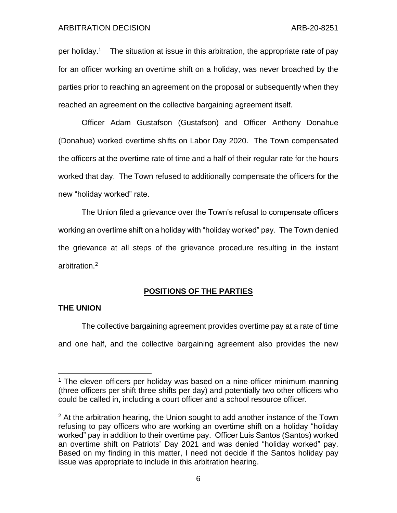per holiday.<sup>1</sup> The situation at issue in this arbitration, the appropriate rate of pay for an officer working an overtime shift on a holiday, was never broached by the parties prior to reaching an agreement on the proposal or subsequently when they reached an agreement on the collective bargaining agreement itself.

Officer Adam Gustafson (Gustafson) and Officer Anthony Donahue (Donahue) worked overtime shifts on Labor Day 2020. The Town compensated the officers at the overtime rate of time and a half of their regular rate for the hours worked that day. The Town refused to additionally compensate the officers for the new "holiday worked" rate.

The Union filed a grievance over the Town's refusal to compensate officers working an overtime shift on a holiday with "holiday worked" pay. The Town denied the grievance at all steps of the grievance procedure resulting in the instant arbitration.<sup>2</sup>

## **POSITIONS OF THE PARTIES**

### **THE UNION**

The collective bargaining agreement provides overtime pay at a rate of time and one half, and the collective bargaining agreement also provides the new

 $1$  The eleven officers per holiday was based on a nine-officer minimum manning (three officers per shift three shifts per day) and potentially two other officers who could be called in, including a court officer and a school resource officer.

 $2$  At the arbitration hearing, the Union sought to add another instance of the Town refusing to pay officers who are working an overtime shift on a holiday "holiday worked" pay in addition to their overtime pay. Officer Luis Santos (Santos) worked an overtime shift on Patriots' Day 2021 and was denied "holiday worked" pay. Based on my finding in this matter, I need not decide if the Santos holiday pay issue was appropriate to include in this arbitration hearing.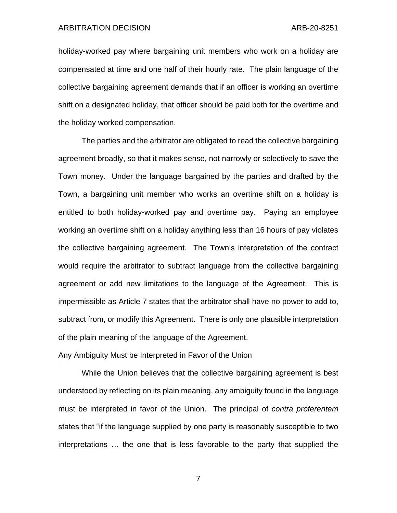holiday-worked pay where bargaining unit members who work on a holiday are compensated at time and one half of their hourly rate. The plain language of the collective bargaining agreement demands that if an officer is working an overtime shift on a designated holiday, that officer should be paid both for the overtime and the holiday worked compensation.

The parties and the arbitrator are obligated to read the collective bargaining agreement broadly, so that it makes sense, not narrowly or selectively to save the Town money. Under the language bargained by the parties and drafted by the Town, a bargaining unit member who works an overtime shift on a holiday is entitled to both holiday-worked pay and overtime pay. Paying an employee working an overtime shift on a holiday anything less than 16 hours of pay violates the collective bargaining agreement. The Town's interpretation of the contract would require the arbitrator to subtract language from the collective bargaining agreement or add new limitations to the language of the Agreement. This is impermissible as Article 7 states that the arbitrator shall have no power to add to, subtract from, or modify this Agreement. There is only one plausible interpretation of the plain meaning of the language of the Agreement.

### Any Ambiguity Must be Interpreted in Favor of the Union

While the Union believes that the collective bargaining agreement is best understood by reflecting on its plain meaning, any ambiguity found in the language must be interpreted in favor of the Union. The principal of *contra proferentem* states that "if the language supplied by one party is reasonably susceptible to two interpretations … the one that is less favorable to the party that supplied the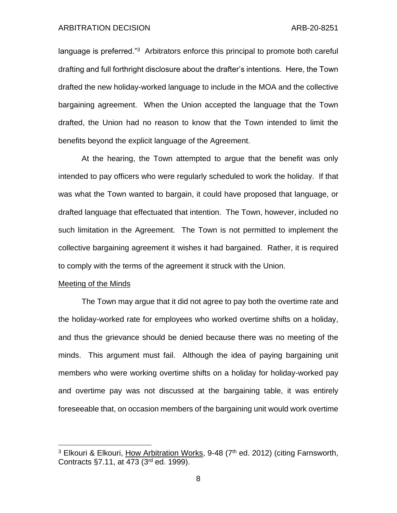language is preferred."<sup>3</sup> Arbitrators enforce this principal to promote both careful drafting and full forthright disclosure about the drafter's intentions. Here, the Town drafted the new holiday-worked language to include in the MOA and the collective bargaining agreement. When the Union accepted the language that the Town drafted, the Union had no reason to know that the Town intended to limit the benefits beyond the explicit language of the Agreement.

At the hearing, the Town attempted to argue that the benefit was only intended to pay officers who were regularly scheduled to work the holiday. If that was what the Town wanted to bargain, it could have proposed that language, or drafted language that effectuated that intention. The Town, however, included no such limitation in the Agreement. The Town is not permitted to implement the collective bargaining agreement it wishes it had bargained. Rather, it is required to comply with the terms of the agreement it struck with the Union.

#### Meeting of the Minds

The Town may argue that it did not agree to pay both the overtime rate and the holiday-worked rate for employees who worked overtime shifts on a holiday, and thus the grievance should be denied because there was no meeting of the minds. This argument must fail. Although the idea of paying bargaining unit members who were working overtime shifts on a holiday for holiday-worked pay and overtime pay was not discussed at the bargaining table, it was entirely foreseeable that, on occasion members of the bargaining unit would work overtime

 $3$  Elkouri & Elkouri, How Arbitration Works, 9-48 ( $7<sup>th</sup>$  ed. 2012) (citing Farnsworth, Contracts §7.11, at 473 (3rd ed. 1999).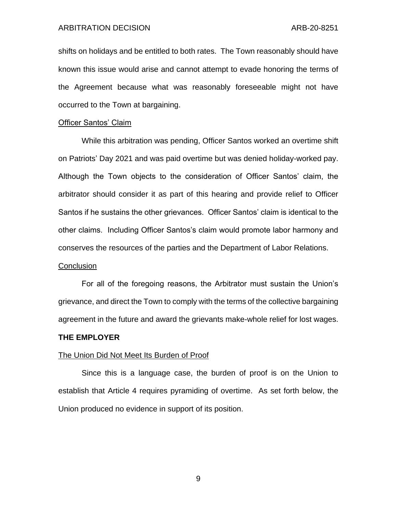shifts on holidays and be entitled to both rates. The Town reasonably should have known this issue would arise and cannot attempt to evade honoring the terms of the Agreement because what was reasonably foreseeable might not have occurred to the Town at bargaining.

### Officer Santos' Claim

While this arbitration was pending, Officer Santos worked an overtime shift on Patriots' Day 2021 and was paid overtime but was denied holiday-worked pay. Although the Town objects to the consideration of Officer Santos' claim, the arbitrator should consider it as part of this hearing and provide relief to Officer Santos if he sustains the other grievances. Officer Santos' claim is identical to the other claims. Including Officer Santos's claim would promote labor harmony and conserves the resources of the parties and the Department of Labor Relations.

#### **Conclusion**

For all of the foregoing reasons, the Arbitrator must sustain the Union's grievance, and direct the Town to comply with the terms of the collective bargaining agreement in the future and award the grievants make-whole relief for lost wages.

#### **THE EMPLOYER**

#### The Union Did Not Meet Its Burden of Proof

Since this is a language case, the burden of proof is on the Union to establish that Article 4 requires pyramiding of overtime. As set forth below, the Union produced no evidence in support of its position.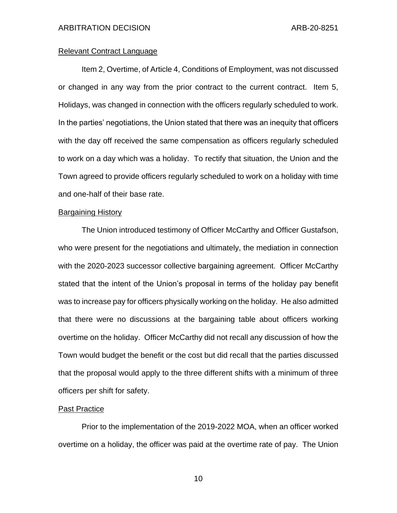# Relevant Contract Language

Item 2, Overtime, of Article 4, Conditions of Employment, was not discussed or changed in any way from the prior contract to the current contract. Item 5, Holidays, was changed in connection with the officers regularly scheduled to work. In the parties' negotiations, the Union stated that there was an inequity that officers with the day off received the same compensation as officers regularly scheduled to work on a day which was a holiday. To rectify that situation, the Union and the Town agreed to provide officers regularly scheduled to work on a holiday with time and one-half of their base rate.

## Bargaining History

The Union introduced testimony of Officer McCarthy and Officer Gustafson, who were present for the negotiations and ultimately, the mediation in connection with the 2020-2023 successor collective bargaining agreement. Officer McCarthy stated that the intent of the Union's proposal in terms of the holiday pay benefit was to increase pay for officers physically working on the holiday. He also admitted that there were no discussions at the bargaining table about officers working overtime on the holiday. Officer McCarthy did not recall any discussion of how the Town would budget the benefit or the cost but did recall that the parties discussed that the proposal would apply to the three different shifts with a minimum of three officers per shift for safety.

#### Past Practice

Prior to the implementation of the 2019-2022 MOA, when an officer worked overtime on a holiday, the officer was paid at the overtime rate of pay. The Union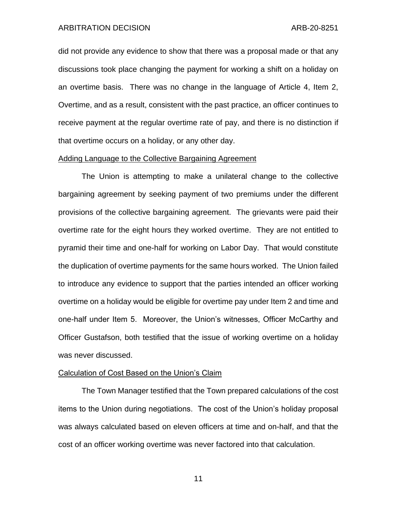did not provide any evidence to show that there was a proposal made or that any discussions took place changing the payment for working a shift on a holiday on an overtime basis. There was no change in the language of Article 4, Item 2, Overtime, and as a result, consistent with the past practice, an officer continues to receive payment at the regular overtime rate of pay, and there is no distinction if that overtime occurs on a holiday, or any other day.

### Adding Language to the Collective Bargaining Agreement

The Union is attempting to make a unilateral change to the collective bargaining agreement by seeking payment of two premiums under the different provisions of the collective bargaining agreement. The grievants were paid their overtime rate for the eight hours they worked overtime. They are not entitled to pyramid their time and one-half for working on Labor Day. That would constitute the duplication of overtime payments for the same hours worked. The Union failed to introduce any evidence to support that the parties intended an officer working overtime on a holiday would be eligible for overtime pay under Item 2 and time and one-half under Item 5. Moreover, the Union's witnesses, Officer McCarthy and Officer Gustafson, both testified that the issue of working overtime on a holiday was never discussed.

#### Calculation of Cost Based on the Union's Claim

The Town Manager testified that the Town prepared calculations of the cost items to the Union during negotiations. The cost of the Union's holiday proposal was always calculated based on eleven officers at time and on-half, and that the cost of an officer working overtime was never factored into that calculation.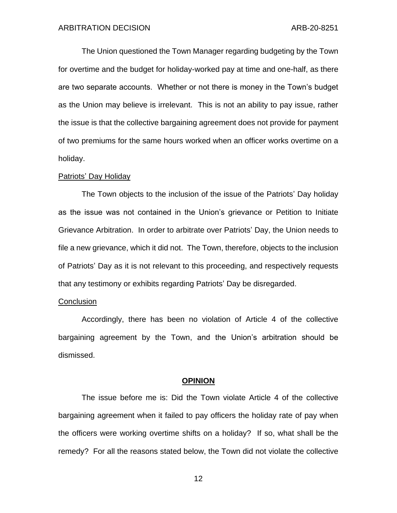The Union questioned the Town Manager regarding budgeting by the Town for overtime and the budget for holiday-worked pay at time and one-half, as there are two separate accounts. Whether or not there is money in the Town's budget as the Union may believe is irrelevant. This is not an ability to pay issue, rather the issue is that the collective bargaining agreement does not provide for payment of two premiums for the same hours worked when an officer works overtime on a holiday.

#### Patriots' Day Holiday

The Town objects to the inclusion of the issue of the Patriots' Day holiday as the issue was not contained in the Union's grievance or Petition to Initiate Grievance Arbitration. In order to arbitrate over Patriots' Day, the Union needs to file a new grievance, which it did not. The Town, therefore, objects to the inclusion of Patriots' Day as it is not relevant to this proceeding, and respectively requests that any testimony or exhibits regarding Patriots' Day be disregarded.

#### **Conclusion**

Accordingly, there has been no violation of Article 4 of the collective bargaining agreement by the Town, and the Union's arbitration should be dismissed.

#### **OPINION**

The issue before me is: Did the Town violate Article 4 of the collective bargaining agreement when it failed to pay officers the holiday rate of pay when the officers were working overtime shifts on a holiday? If so, what shall be the remedy? For all the reasons stated below, the Town did not violate the collective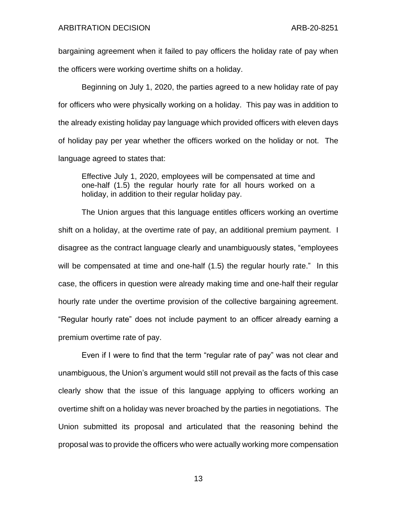bargaining agreement when it failed to pay officers the holiday rate of pay when the officers were working overtime shifts on a holiday.

Beginning on July 1, 2020, the parties agreed to a new holiday rate of pay for officers who were physically working on a holiday. This pay was in addition to the already existing holiday pay language which provided officers with eleven days of holiday pay per year whether the officers worked on the holiday or not. The language agreed to states that:

Effective July 1, 2020, employees will be compensated at time and one-half (1.5) the regular hourly rate for all hours worked on a holiday, in addition to their regular holiday pay.

The Union argues that this language entitles officers working an overtime shift on a holiday, at the overtime rate of pay, an additional premium payment. I disagree as the contract language clearly and unambiguously states, "employees will be compensated at time and one-half (1.5) the regular hourly rate." In this case, the officers in question were already making time and one-half their regular hourly rate under the overtime provision of the collective bargaining agreement. "Regular hourly rate" does not include payment to an officer already earning a premium overtime rate of pay.

Even if I were to find that the term "regular rate of pay" was not clear and unambiguous, the Union's argument would still not prevail as the facts of this case clearly show that the issue of this language applying to officers working an overtime shift on a holiday was never broached by the parties in negotiations. The Union submitted its proposal and articulated that the reasoning behind the proposal was to provide the officers who were actually working more compensation